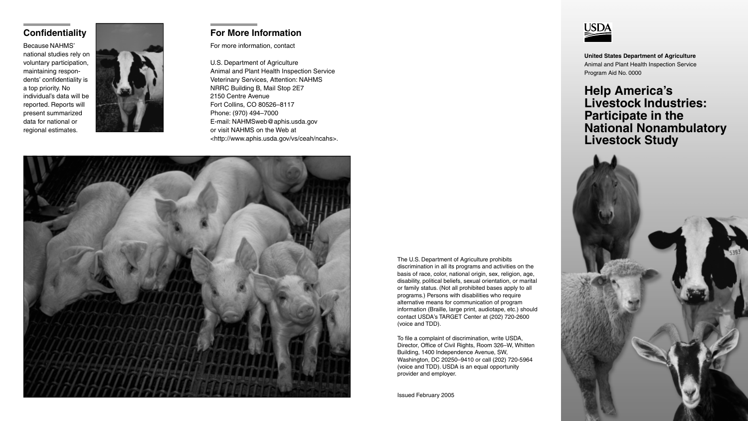**United States Department of Agriculture** Animal and Plant Health Inspection Service Program Aid No. 0000

# **Help America's Livestock Industries: Participate in the National Nonambulatory Livestock Study**

The U.S. Department of Agriculture prohibits discrimination in all its programs and activities on the basis of race, color, national origin, sex, religion, age, disability, political beliefs, sexual orientation, or marital or family status. (Not all prohibited bases apply to all programs.) Persons with disabilities who require alternative means for communication of program information (Braille, large print, audiotape, etc.) should contact USDA's TARGET Center at (202) 720-2600 (voice and TDD).

To file a complaint of discrimination, write USDA, Director, Office of Civil Rights, Room 326–W, Whitten Building, 1400 Independence Avenue, SW, Washington, DC 20250–9410 or call (202) 720-5964 (voice and TDD). USDA is an equal opportunity provider and employer.

Issued February 2005



## **Confidentiality**

Because NAHMS' national studies rely on voluntary participation, maintaining respondents' confidentiality is a top priority. No individual's data will be reported. Reports will present summarized data for national or regional estimates.



## **For More Information**

For more information, contact

U.S. Department of Agriculture Animal and Plant Health Inspection Service Veterinary Services, Attention: NAHMS NRRC Building B, Mail Stop 2E7 2150 Centre Avenue Fort Collins, CO 80526–8117 Phone: (970) 494–7000 E-mail: NAHMSweb@aphis.usda.gov or visit NAHMS on the Web at <http://www.aphis.usda.gov/vs/ceah/ncahs>.